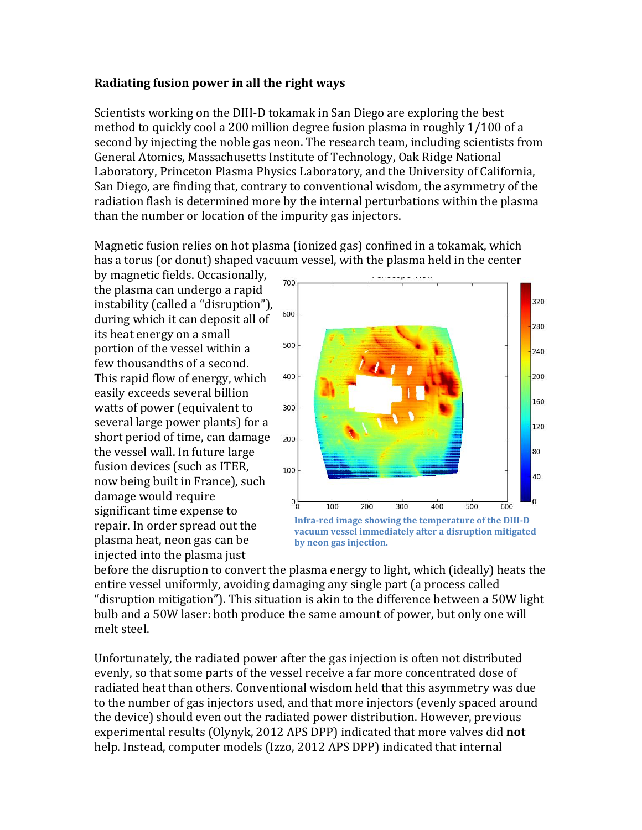## **Radiating fusion power in all the right ways**

Scientists working on the DIII-D tokamak in San Diego are exploring the best method to quickly cool a 200 million degree fusion plasma in roughly 1/100 of a second by injecting the noble gas neon. The research team, including scientists from General Atomics, Massachusetts Institute of Technology, Oak Ridge National Laboratory, Princeton Plasma Physics Laboratory, and the University of California, San Diego, are finding that, contrary to conventional wisdom, the asymmetry of the radiation flash is determined more by the internal perturbations within the plasma than the number or location of the impurity gas injectors.

Magnetic fusion relies on hot plasma (ionized gas) confined in a tokamak, which has a torus (or donut) shaped vacuum vessel, with the plasma held in the center

by magnetic fields. Occasionally, the plasma can undergo a rapid instability (called a "disruption"), during which it can deposit all of its heat energy on a small portion of the vessel within a few thousandths of a second. This rapid flow of energy, which easily exceeds several billion watts of power (equivalent to several large power plants) for a short period of time, can damage the vessel wall. In future large fusion devices (such as ITER, now being built in France), such damage would require significant time expense to repair. In order spread out the plasma heat, neon gas can be injected into the plasma just



**vacuum vessel immediately after a disruption mitigated by neon gas injection.** 

before the disruption to convert the plasma energy to light, which (ideally) heats the entire vessel uniformly, avoiding damaging any single part (a process called "disruption mitigation"). This situation is akin to the difference between a 50W light bulb and a 50W laser: both produce the same amount of power, but only one will melt steel.

Unfortunately, the radiated power after the gas injection is often not distributed evenly, so that some parts of the vessel receive a far more concentrated dose of radiated heat than others. Conventional wisdom held that this asymmetry was due to the number of gas injectors used, and that more injectors (evenly spaced around the device) should even out the radiated power distribution. However, previous experimental results (Olynyk, 2012 APS DPP) indicated that more valves did **not** help. Instead, computer models (Izzo, 2012 APS DPP) indicated that internal